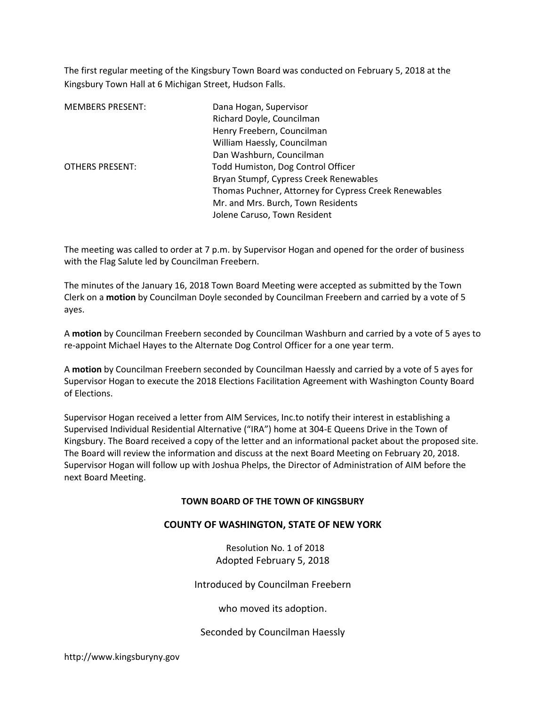The first regular meeting of the Kingsbury Town Board was conducted on February 5, 2018 at the Kingsbury Town Hall at 6 Michigan Street, Hudson Falls.

| <b>MEMBERS PRESENT:</b> | Dana Hogan, Supervisor                                |
|-------------------------|-------------------------------------------------------|
|                         | Richard Doyle, Councilman                             |
|                         | Henry Freebern, Councilman                            |
|                         | William Haessly, Councilman                           |
|                         | Dan Washburn, Councilman                              |
| <b>OTHERS PRESENT:</b>  | Todd Humiston, Dog Control Officer                    |
|                         | Bryan Stumpf, Cypress Creek Renewables                |
|                         | Thomas Puchner, Attorney for Cypress Creek Renewables |
|                         | Mr. and Mrs. Burch, Town Residents                    |
|                         | Jolene Caruso, Town Resident                          |

The meeting was called to order at 7 p.m. by Supervisor Hogan and opened for the order of business with the Flag Salute led by Councilman Freebern.

The minutes of the January 16, 2018 Town Board Meeting were accepted as submitted by the Town Clerk on a motion by Councilman Doyle seconded by Councilman Freebern and carried by a vote of 5 ayes.

A motion by Councilman Freebern seconded by Councilman Washburn and carried by a vote of 5 ayes to re-appoint Michael Hayes to the Alternate Dog Control Officer for a one year term.

A motion by Councilman Freebern seconded by Councilman Haessly and carried by a vote of 5 ayes for Supervisor Hogan to execute the 2018 Elections Facilitation Agreement with Washington County Board of Elections.

Supervisor Hogan received a letter from AIM Services, Inc.to notify their interest in establishing a Supervised Individual Residential Alternative ("IRA") home at 304-E Queens Drive in the Town of Kingsbury. The Board received a copy of the letter and an informational packet about the proposed site. The Board will review the information and discuss at the next Board Meeting on February 20, 2018. Supervisor Hogan will follow up with Joshua Phelps, the Director of Administration of AIM before the next Board Meeting.

#### TOWN BOARD OF THE TOWN OF KINGSBURY

### COUNTY OF WASHINGTON, STATE OF NEW YORK

 Resolution No. 1 of 2018 Adopted February 5, 2018

Introduced by Councilman Freebern

who moved its adoption.

Seconded by Councilman Haessly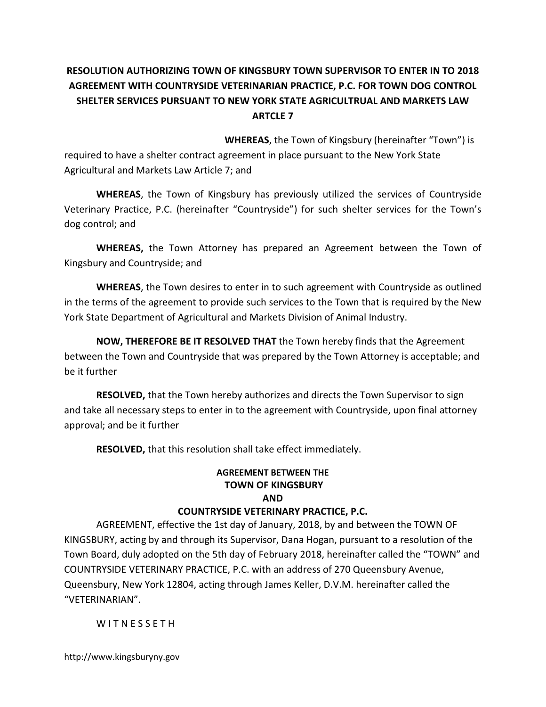# RESOLUTION AUTHORIZING TOWN OF KINGSBURY TOWN SUPERVISOR TO ENTER IN TO 2018 AGREEMENT WITH COUNTRYSIDE VETERINARIAN PRACTICE, P.C. FOR TOWN DOG CONTROL SHELTER SERVICES PURSUANT TO NEW YORK STATE AGRICULTRUAL AND MARKETS LAW ARTCLE 7

WHEREAS, the Town of Kingsbury (hereinafter "Town") is

required to have a shelter contract agreement in place pursuant to the New York State Agricultural and Markets Law Article 7; and

WHEREAS, the Town of Kingsbury has previously utilized the services of Countryside Veterinary Practice, P.C. (hereinafter "Countryside") for such shelter services for the Town's dog control; and

WHEREAS, the Town Attorney has prepared an Agreement between the Town of Kingsbury and Countryside; and

WHEREAS, the Town desires to enter in to such agreement with Countryside as outlined in the terms of the agreement to provide such services to the Town that is required by the New York State Department of Agricultural and Markets Division of Animal Industry.

NOW, THEREFORE BE IT RESOLVED THAT the Town hereby finds that the Agreement between the Town and Countryside that was prepared by the Town Attorney is acceptable; and be it further

RESOLVED, that the Town hereby authorizes and directs the Town Supervisor to sign and take all necessary steps to enter in to the agreement with Countryside, upon final attorney approval; and be it further

RESOLVED, that this resolution shall take effect immediately.

# AGREEMENT BETWEEN THE TOWN OF KINGSBURY AND

## COUNTRYSIDE VETERINARY PRACTICE, P.C.

AGREEMENT, effective the 1st day of January, 2018, by and between the TOWN OF KINGSBURY, acting by and through its Supervisor, Dana Hogan, pursuant to a resolution of the Town Board, duly adopted on the 5th day of February 2018, hereinafter called the "TOWN" and COUNTRYSIDE VETERINARY PRACTICE, P.C. with an address of 270 Queensbury Avenue, Queensbury, New York 12804, acting through James Keller, D.V.M. hereinafter called the "VETERINARIAN".

W I T N E S S E T H

http://www.kingsburyny.gov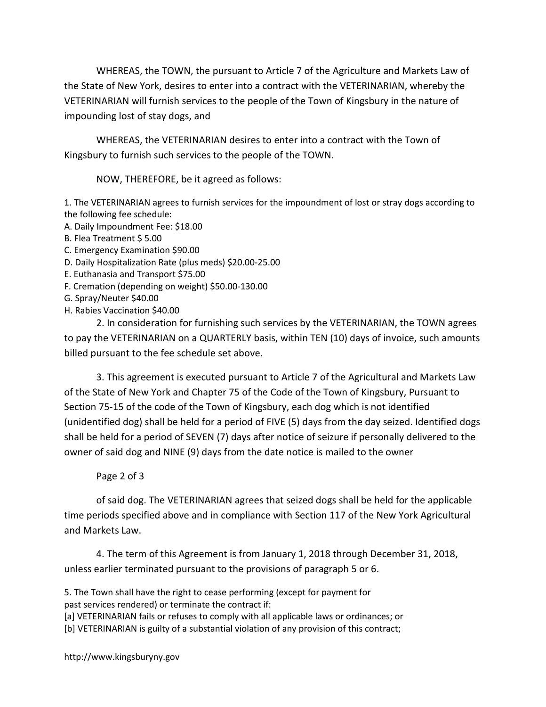WHEREAS, the TOWN, the pursuant to Article 7 of the Agriculture and Markets Law of the State of New York, desires to enter into a contract with the VETERINARIAN, whereby the VETERINARIAN will furnish services to the people of the Town of Kingsbury in the nature of impounding lost of stay dogs, and

WHEREAS, the VETERINARIAN desires to enter into a contract with the Town of Kingsbury to furnish such services to the people of the TOWN.

NOW, THEREFORE, be it agreed as follows:

1. The VETERINARIAN agrees to furnish services for the impoundment of lost or stray dogs according to the following fee schedule:

- A. Daily Impoundment Fee: \$18.00
- B. Flea Treatment \$ 5.00
- C. Emergency Examination \$90.00
- D. Daily Hospitalization Rate (plus meds) \$20.00-25.00
- E. Euthanasia and Transport \$75.00
- F. Cremation (depending on weight) \$50.00-130.00
- G. Spray/Neuter \$40.00
- H. Rabies Vaccination \$40.00

2. In consideration for furnishing such services by the VETERINARIAN, the TOWN agrees to pay the VETERINARIAN on a QUARTERLY basis, within TEN (10) days of invoice, such amounts billed pursuant to the fee schedule set above.

3. This agreement is executed pursuant to Article 7 of the Agricultural and Markets Law of the State of New York and Chapter 75 of the Code of the Town of Kingsbury, Pursuant to Section 75-15 of the code of the Town of Kingsbury, each dog which is not identified (unidentified dog) shall be held for a period of FIVE (5) days from the day seized. Identified dogs shall be held for a period of SEVEN (7) days after notice of seizure if personally delivered to the owner of said dog and NINE (9) days from the date notice is mailed to the owner

## Page 2 of 3

of said dog. The VETERINARIAN agrees that seized dogs shall be held for the applicable time periods specified above and in compliance with Section 117 of the New York Agricultural and Markets Law.

4. The term of this Agreement is from January 1, 2018 through December 31, 2018, unless earlier terminated pursuant to the provisions of paragraph 5 or 6.

5. The Town shall have the right to cease performing (except for payment for past services rendered) or terminate the contract if: [a] VETERINARIAN fails or refuses to comply with all applicable laws or ordinances; or

[b] VETERINARIAN is guilty of a substantial violation of any provision of this contract;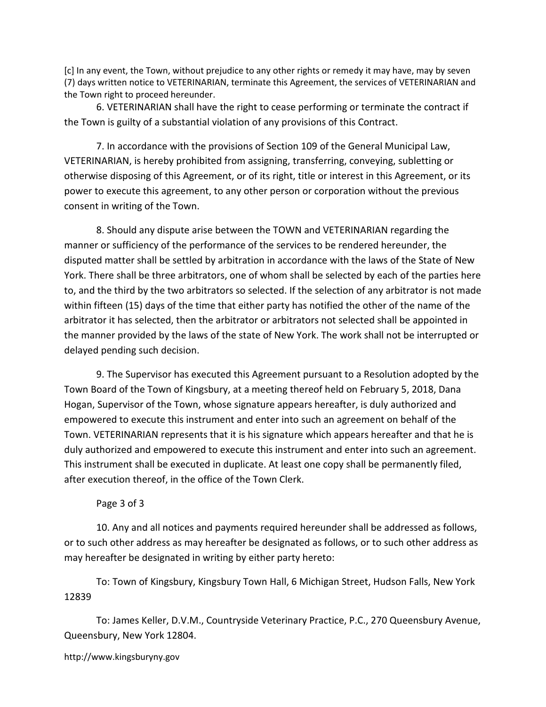[c] In any event, the Town, without prejudice to any other rights or remedy it may have, may by seven (7) days written notice to VETERINARIAN, terminate this Agreement, the services of VETERINARIAN and the Town right to proceed hereunder.

6. VETERINARIAN shall have the right to cease performing or terminate the contract if the Town is guilty of a substantial violation of any provisions of this Contract.

7. In accordance with the provisions of Section 109 of the General Municipal Law, VETERINARIAN, is hereby prohibited from assigning, transferring, conveying, subletting or otherwise disposing of this Agreement, or of its right, title or interest in this Agreement, or its power to execute this agreement, to any other person or corporation without the previous consent in writing of the Town.

8. Should any dispute arise between the TOWN and VETERINARIAN regarding the manner or sufficiency of the performance of the services to be rendered hereunder, the disputed matter shall be settled by arbitration in accordance with the laws of the State of New York. There shall be three arbitrators, one of whom shall be selected by each of the parties here to, and the third by the two arbitrators so selected. If the selection of any arbitrator is not made within fifteen (15) days of the time that either party has notified the other of the name of the arbitrator it has selected, then the arbitrator or arbitrators not selected shall be appointed in the manner provided by the laws of the state of New York. The work shall not be interrupted or delayed pending such decision.

9. The Supervisor has executed this Agreement pursuant to a Resolution adopted by the Town Board of the Town of Kingsbury, at a meeting thereof held on February 5, 2018, Dana Hogan, Supervisor of the Town, whose signature appears hereafter, is duly authorized and empowered to execute this instrument and enter into such an agreement on behalf of the Town. VETERINARIAN represents that it is his signature which appears hereafter and that he is duly authorized and empowered to execute this instrument and enter into such an agreement. This instrument shall be executed in duplicate. At least one copy shall be permanently filed, after execution thereof, in the office of the Town Clerk.

### Page 3 of 3

10. Any and all notices and payments required hereunder shall be addressed as follows, or to such other address as may hereafter be designated as follows, or to such other address as may hereafter be designated in writing by either party hereto:

To: Town of Kingsbury, Kingsbury Town Hall, 6 Michigan Street, Hudson Falls, New York 12839

To: James Keller, D.V.M., Countryside Veterinary Practice, P.C., 270 Queensbury Avenue, Queensbury, New York 12804.

http://www.kingsburyny.gov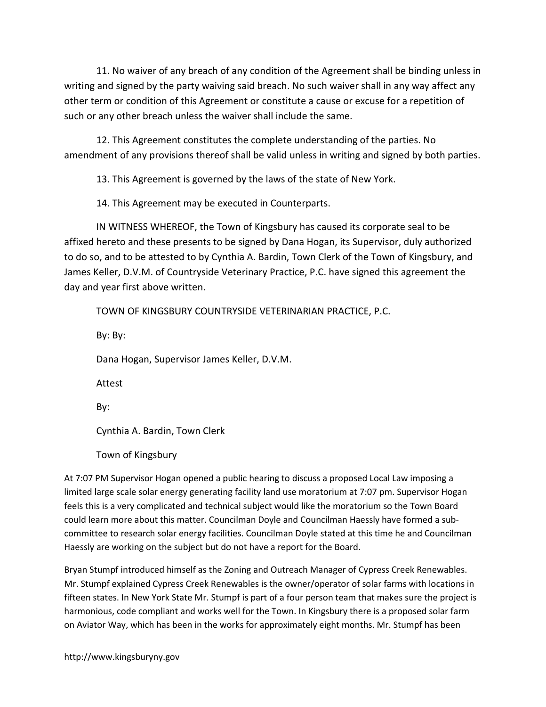11. No waiver of any breach of any condition of the Agreement shall be binding unless in writing and signed by the party waiving said breach. No such waiver shall in any way affect any other term or condition of this Agreement or constitute a cause or excuse for a repetition of such or any other breach unless the waiver shall include the same.

12. This Agreement constitutes the complete understanding of the parties. No amendment of any provisions thereof shall be valid unless in writing and signed by both parties.

13. This Agreement is governed by the laws of the state of New York.

14. This Agreement may be executed in Counterparts.

IN WITNESS WHEREOF, the Town of Kingsbury has caused its corporate seal to be affixed hereto and these presents to be signed by Dana Hogan, its Supervisor, duly authorized to do so, and to be attested to by Cynthia A. Bardin, Town Clerk of the Town of Kingsbury, and James Keller, D.V.M. of Countryside Veterinary Practice, P.C. have signed this agreement the day and year first above written.

TOWN OF KINGSBURY COUNTRYSIDE VETERINARIAN PRACTICE, P.C. By: By: Dana Hogan, Supervisor James Keller, D.V.M. Attest By: Cynthia A. Bardin, Town Clerk

Town of Kingsbury

At 7:07 PM Supervisor Hogan opened a public hearing to discuss a proposed Local Law imposing a limited large scale solar energy generating facility land use moratorium at 7:07 pm. Supervisor Hogan feels this is a very complicated and technical subject would like the moratorium so the Town Board could learn more about this matter. Councilman Doyle and Councilman Haessly have formed a subcommittee to research solar energy facilities. Councilman Doyle stated at this time he and Councilman Haessly are working on the subject but do not have a report for the Board.

Bryan Stumpf introduced himself as the Zoning and Outreach Manager of Cypress Creek Renewables. Mr. Stumpf explained Cypress Creek Renewables is the owner/operator of solar farms with locations in fifteen states. In New York State Mr. Stumpf is part of a four person team that makes sure the project is harmonious, code compliant and works well for the Town. In Kingsbury there is a proposed solar farm on Aviator Way, which has been in the works for approximately eight months. Mr. Stumpf has been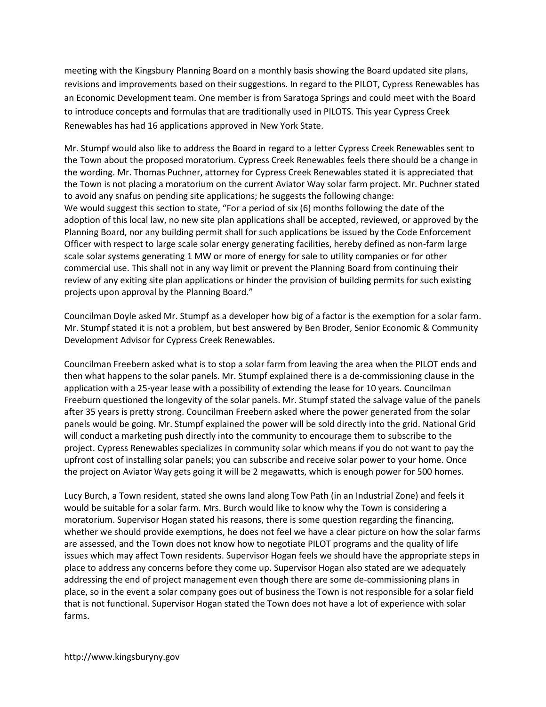meeting with the Kingsbury Planning Board on a monthly basis showing the Board updated site plans, revisions and improvements based on their suggestions. In regard to the PILOT, Cypress Renewables has an Economic Development team. One member is from Saratoga Springs and could meet with the Board to introduce concepts and formulas that are traditionally used in PILOTS. This year Cypress Creek Renewables has had 16 applications approved in New York State.

Mr. Stumpf would also like to address the Board in regard to a letter Cypress Creek Renewables sent to the Town about the proposed moratorium. Cypress Creek Renewables feels there should be a change in the wording. Mr. Thomas Puchner, attorney for Cypress Creek Renewables stated it is appreciated that the Town is not placing a moratorium on the current Aviator Way solar farm project. Mr. Puchner stated to avoid any snafus on pending site applications; he suggests the following change: We would suggest this section to state, "For a period of six (6) months following the date of the adoption of this local law, no new site plan applications shall be accepted, reviewed, or approved by the Planning Board, nor any building permit shall for such applications be issued by the Code Enforcement Officer with respect to large scale solar energy generating facilities, hereby defined as non-farm large scale solar systems generating 1 MW or more of energy for sale to utility companies or for other commercial use. This shall not in any way limit or prevent the Planning Board from continuing their review of any exiting site plan applications or hinder the provision of building permits for such existing projects upon approval by the Planning Board."

Councilman Doyle asked Mr. Stumpf as a developer how big of a factor is the exemption for a solar farm. Mr. Stumpf stated it is not a problem, but best answered by Ben Broder, Senior Economic & Community Development Advisor for Cypress Creek Renewables.

Councilman Freebern asked what is to stop a solar farm from leaving the area when the PILOT ends and then what happens to the solar panels. Mr. Stumpf explained there is a de-commissioning clause in the application with a 25-year lease with a possibility of extending the lease for 10 years. Councilman Freeburn questioned the longevity of the solar panels. Mr. Stumpf stated the salvage value of the panels after 35 years is pretty strong. Councilman Freebern asked where the power generated from the solar panels would be going. Mr. Stumpf explained the power will be sold directly into the grid. National Grid will conduct a marketing push directly into the community to encourage them to subscribe to the project. Cypress Renewables specializes in community solar which means if you do not want to pay the upfront cost of installing solar panels; you can subscribe and receive solar power to your home. Once the project on Aviator Way gets going it will be 2 megawatts, which is enough power for 500 homes.

Lucy Burch, a Town resident, stated she owns land along Tow Path (in an Industrial Zone) and feels it would be suitable for a solar farm. Mrs. Burch would like to know why the Town is considering a moratorium. Supervisor Hogan stated his reasons, there is some question regarding the financing, whether we should provide exemptions, he does not feel we have a clear picture on how the solar farms are assessed, and the Town does not know how to negotiate PILOT programs and the quality of life issues which may affect Town residents. Supervisor Hogan feels we should have the appropriate steps in place to address any concerns before they come up. Supervisor Hogan also stated are we adequately addressing the end of project management even though there are some de-commissioning plans in place, so in the event a solar company goes out of business the Town is not responsible for a solar field that is not functional. Supervisor Hogan stated the Town does not have a lot of experience with solar farms.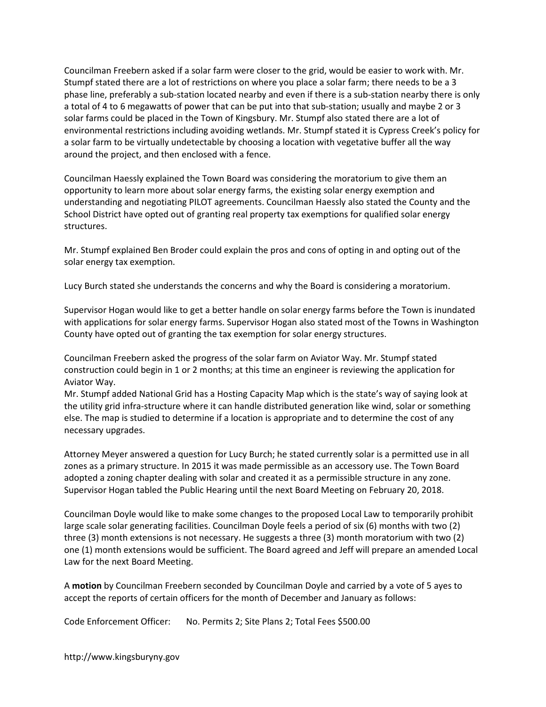Councilman Freebern asked if a solar farm were closer to the grid, would be easier to work with. Mr. Stumpf stated there are a lot of restrictions on where you place a solar farm; there needs to be a 3 phase line, preferably a sub-station located nearby and even if there is a sub-station nearby there is only a total of 4 to 6 megawatts of power that can be put into that sub-station; usually and maybe 2 or 3 solar farms could be placed in the Town of Kingsbury. Mr. Stumpf also stated there are a lot of environmental restrictions including avoiding wetlands. Mr. Stumpf stated it is Cypress Creek's policy for a solar farm to be virtually undetectable by choosing a location with vegetative buffer all the way around the project, and then enclosed with a fence.

Councilman Haessly explained the Town Board was considering the moratorium to give them an opportunity to learn more about solar energy farms, the existing solar energy exemption and understanding and negotiating PILOT agreements. Councilman Haessly also stated the County and the School District have opted out of granting real property tax exemptions for qualified solar energy structures.

Mr. Stumpf explained Ben Broder could explain the pros and cons of opting in and opting out of the solar energy tax exemption.

Lucy Burch stated she understands the concerns and why the Board is considering a moratorium.

Supervisor Hogan would like to get a better handle on solar energy farms before the Town is inundated with applications for solar energy farms. Supervisor Hogan also stated most of the Towns in Washington County have opted out of granting the tax exemption for solar energy structures.

Councilman Freebern asked the progress of the solar farm on Aviator Way. Mr. Stumpf stated construction could begin in 1 or 2 months; at this time an engineer is reviewing the application for Aviator Way.

Mr. Stumpf added National Grid has a Hosting Capacity Map which is the state's way of saying look at the utility grid infra-structure where it can handle distributed generation like wind, solar or something else. The map is studied to determine if a location is appropriate and to determine the cost of any necessary upgrades.

Attorney Meyer answered a question for Lucy Burch; he stated currently solar is a permitted use in all zones as a primary structure. In 2015 it was made permissible as an accessory use. The Town Board adopted a zoning chapter dealing with solar and created it as a permissible structure in any zone. Supervisor Hogan tabled the Public Hearing until the next Board Meeting on February 20, 2018.

Councilman Doyle would like to make some changes to the proposed Local Law to temporarily prohibit large scale solar generating facilities. Councilman Doyle feels a period of six (6) months with two (2) three (3) month extensions is not necessary. He suggests a three (3) month moratorium with two (2) one (1) month extensions would be sufficient. The Board agreed and Jeff will prepare an amended Local Law for the next Board Meeting.

A motion by Councilman Freebern seconded by Councilman Doyle and carried by a vote of 5 ayes to accept the reports of certain officers for the month of December and January as follows:

Code Enforcement Officer: No. Permits 2; Site Plans 2; Total Fees \$500.00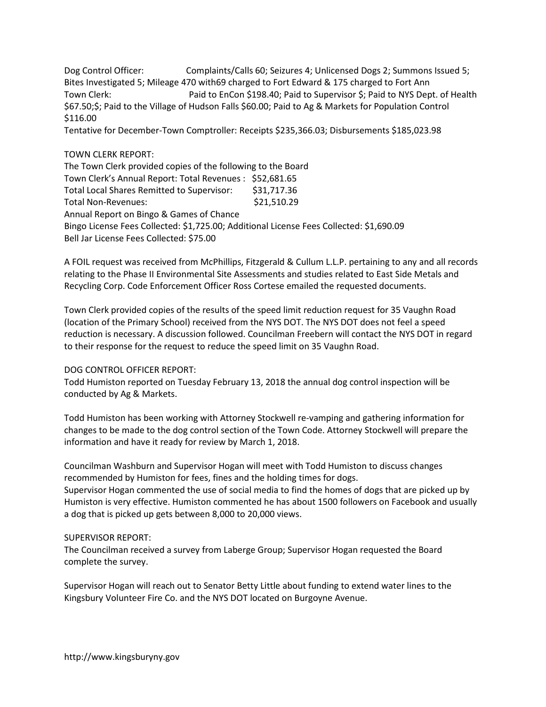Dog Control Officer: Complaints/Calls 60; Seizures 4; Unlicensed Dogs 2; Summons Issued 5; Bites Investigated 5; Mileage 470 with69 charged to Fort Edward & 175 charged to Fort Ann Town Clerk: Paid to EnCon \$198.40; Paid to Supervisor \$; Paid to NYS Dept. of Health \$67.50;\$; Paid to the Village of Hudson Falls \$60.00; Paid to Ag & Markets for Population Control \$116.00 Tentative for December-Town Comptroller: Receipts \$235,366.03; Disbursements \$185,023.98

### TOWN CLERK REPORT:

The Town Clerk provided copies of the following to the Board Town Clerk's Annual Report: Total Revenues : \$52,681.65 Total Local Shares Remitted to Supervisor: \$31,717.36 Total Non-Revenues:  $$21,510.29$ Annual Report on Bingo & Games of Chance Bingo License Fees Collected: \$1,725.00; Additional License Fees Collected: \$1,690.09 Bell Jar License Fees Collected: \$75.00

A FOIL request was received from McPhillips, Fitzgerald & Cullum L.L.P. pertaining to any and all records relating to the Phase II Environmental Site Assessments and studies related to East Side Metals and Recycling Corp. Code Enforcement Officer Ross Cortese emailed the requested documents.

Town Clerk provided copies of the results of the speed limit reduction request for 35 Vaughn Road (location of the Primary School) received from the NYS DOT. The NYS DOT does not feel a speed reduction is necessary. A discussion followed. Councilman Freebern will contact the NYS DOT in regard to their response for the request to reduce the speed limit on 35 Vaughn Road.

#### DOG CONTROL OFFICER REPORT:

Todd Humiston reported on Tuesday February 13, 2018 the annual dog control inspection will be conducted by Ag & Markets.

Todd Humiston has been working with Attorney Stockwell re-vamping and gathering information for changes to be made to the dog control section of the Town Code. Attorney Stockwell will prepare the information and have it ready for review by March 1, 2018.

Councilman Washburn and Supervisor Hogan will meet with Todd Humiston to discuss changes recommended by Humiston for fees, fines and the holding times for dogs.

Supervisor Hogan commented the use of social media to find the homes of dogs that are picked up by Humiston is very effective. Humiston commented he has about 1500 followers on Facebook and usually a dog that is picked up gets between 8,000 to 20,000 views.

#### SUPERVISOR REPORT:

The Councilman received a survey from Laberge Group; Supervisor Hogan requested the Board complete the survey.

Supervisor Hogan will reach out to Senator Betty Little about funding to extend water lines to the Kingsbury Volunteer Fire Co. and the NYS DOT located on Burgoyne Avenue.